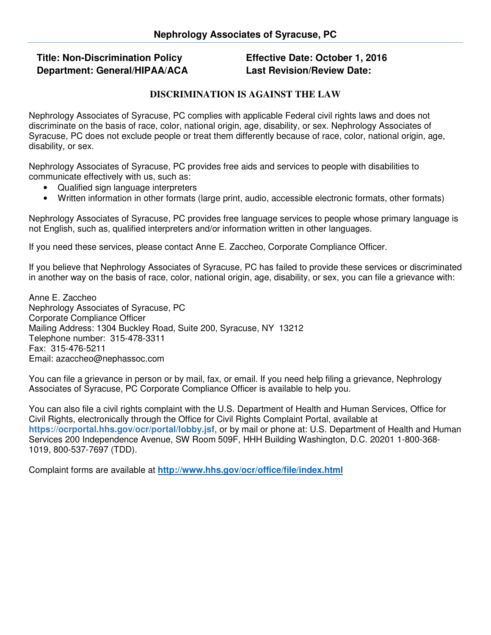## **Title: Non-Discrimination Policy Department: General/HIPAA/ACA**

**Effective Date: October 1, 2016 Last Revision/Review Date:** 

## **DISCRIMINATION IS AGAINST THE LAW**

Nephrology Associates of Syracuse, PC complies with applicable Federal civil rights laws and does not discriminate on the basis of race, color, national origin, age, disability, or sex. Nephrology Associates of Syracuse, PC does not exclude people or treat them differently because of race, color, national origin, age, disability, or sex.

Nephrology Associates of Syracuse, PC provides free aids and services to people with disabilities to communicate effectively with us, such as:

- Qualified sign language interpreters
- Written information in other formats (large print, audio, accessible electronic formats, other formats)

Nephrology Associates of Syracuse, PC provides free language services to people whose primary language is not English, such as, qualified interpreters and/or information written in other languages.

If you need these services, please contact Anne E. Zaccheo, Corporate Compliance Officer.

If you believe that Nephrology Associates of Syracuse, PC has failed to provide these services or discriminated in another way on the basis of race, color, national origin, age, disability, or sex, you can file a grievance with:

Anne E. Zaccheo Nephrology Associates of Syracuse, PC Corporate Compliance Officer Mailing Address: 1304 Buckley Road, Suite 200, Syracuse, NY 13212 Telephone number: 315-478-3311 Fax: 315-476-5211 Email: azaccheo@nephassoc.com

You can file a grievance in person or by mail, fax, or email. If you need help filing a grievance, Nephrology Associates of Syracuse, PC Corporate Compliance Officer is available to help you.

You can also file a civil rights complaint with the U.S. Department of Health and Human Services, Office for Civil Rights, electronically through the Office for Civil Rights Complaint Portal, available at **https://ocrportal.hhs.gov/ocr/portal/lobby.jsf**, or by mail or phone at: U.S. Department of Health and Human Services 200 Independence Avenue, SW Room 509F, HHH Building Washington, D.C. 20201 1-800-368- 1019, 800-537-7697 (TDD).

Complaint forms are available at **http://www.hhs.gov/ocr/office/file/index.html**